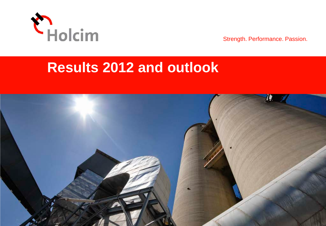

Strength. Performance. Passion.

# **Results 2012 and outlook**

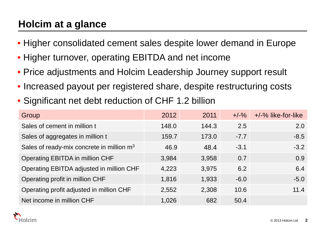### **Holcim at a glance**

- Higher consolidated cement sales despite lower demand in Europe
- Higher turnover, operating EBITDA and net income
- Price adjustments and Holcim Leadership Journey support result
- Increased payout per registered share, despite restructuring costs
- Significant net debt reduction of CHF 1.2 billion

| Group                                                 | 2012  | 2011  | $+/-\%$ | +/-% like-for-like |
|-------------------------------------------------------|-------|-------|---------|--------------------|
| Sales of cement in million t                          | 148.0 | 144.3 | 2.5     | 2.0                |
| Sales of aggregates in million t                      | 159.7 | 173.0 | $-7.7$  | $-8.5$             |
| Sales of ready-mix concrete in million m <sup>3</sup> | 46.9  | 48.4  | $-3.1$  | $-3.2$             |
| Operating EBITDA in million CHF                       | 3,984 | 3,958 | 0.7     | 0.9                |
| Operating EBITDA adjusted in million CHF              | 4,223 | 3,975 | 6.2     | 6.4                |
| Operating profit in million CHF                       | 1,816 | 1,933 | $-6.0$  | $-5.0$             |
| Operating profit adjusted in million CHF              | 2,552 | 2,308 | 10.6    | 11.4               |
| Net income in million CHF                             | 1,026 | 682   | 50.4    |                    |

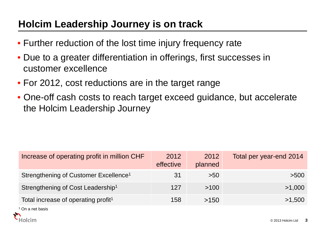### **Holcim Leadership Journey is on track**

- Further reduction of the lost time injury frequency rate
- Due to a greater differentiation in offerings, first successes in customer excellence
- For 2012, cost reductions are in the target range
- One-off cash costs to reach target exceed guidance, but accelerate the Holcim Leadership Journey

| Increase of operating profit in million CHF       | 2012<br>effective | 2012<br>planned | Total per year-end 2014 |
|---------------------------------------------------|-------------------|-----------------|-------------------------|
| Strengthening of Customer Excellence <sup>1</sup> | 31                | >50             | >500                    |
| Strengthening of Cost Leadership <sup>1</sup>     | 127               | >100            | >1,000                  |
| Total increase of operating profit <sup>1</sup>   | 158               | >150            | >1,500                  |

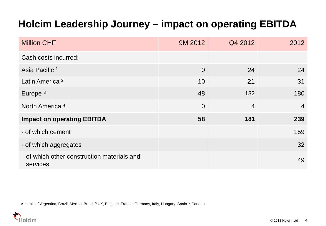### **Holcim Leadership Journey – impact on operating EBITDA**

| <b>Million CHF</b>                                      | 9M 2012        | Q4 2012        | 2012           |
|---------------------------------------------------------|----------------|----------------|----------------|
| Cash costs incurred:                                    |                |                |                |
| Asia Pacific <sup>1</sup>                               | $\overline{0}$ | 24             | 24             |
| Latin America <sup>2</sup>                              | 10             | 21             | 31             |
| Europe <sup>3</sup>                                     | 48             | 132            | 180            |
| North America <sup>4</sup>                              | $\overline{0}$ | $\overline{4}$ | $\overline{4}$ |
| <b>Impact on operating EBITDA</b>                       | 58             | 181            | 239            |
| - of which cement                                       |                |                | 159            |
| - of which aggregates                                   |                |                | 32             |
| - of which other construction materials and<br>services |                |                | 49             |

<sup>1</sup> Australia <sup>2</sup> Argentina, Brazil, Mexico, Brazil <sup>3</sup> UK, Belgium, France, Germany, Italy, Hungary, Spain <sup>4</sup> Canada

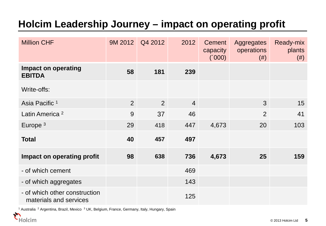### **Holcim Leadership Journey – impact on operating profit**

| <b>Million CHF</b>                                      | 9M 2012        | Q4 2012        | 2012           | <b>Cement</b><br>capacity<br>(000) | Aggregates<br>operations<br>(# ) | Ready-mix<br>plants<br>$(\#)$ |
|---------------------------------------------------------|----------------|----------------|----------------|------------------------------------|----------------------------------|-------------------------------|
| <b>Impact on operating</b><br><b>EBITDA</b>             | 58             | 181            | 239            |                                    |                                  |                               |
| Write-offs:                                             |                |                |                |                                    |                                  |                               |
| Asia Pacific <sup>1</sup>                               | $\overline{2}$ | $\overline{2}$ | $\overline{4}$ |                                    | 3                                | 15                            |
| Latin America <sup>2</sup>                              | 9              | 37             | 46             |                                    | $\overline{2}$                   | 41                            |
| Europe $3$                                              | 29             | 418            | 447            | 4,673                              | 20                               | 103                           |
| <b>Total</b>                                            | 40             | 457            | 497            |                                    |                                  |                               |
| Impact on operating profit                              | 98             | 638            | 736            | 4,673                              | 25                               | 159                           |
| - of which cement                                       |                |                | 469            |                                    |                                  |                               |
| - of which aggregates                                   |                |                | 143            |                                    |                                  |                               |
| - of which other construction<br>materials and services |                |                | 125            |                                    |                                  |                               |

 $1$  Australia  $2$  Argentina, Brazil, Mexico  $3$  UK, Belgium, France, Germany, Italy, Hungary, Spain

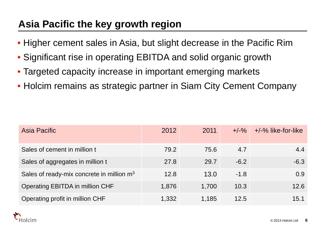### **Asia Pacific the key growth region**

- Higher cement sales in Asia, but slight decrease in the Pacific Rim
- Significant rise in operating EBITDA and solid organic growth
- Targeted capacity increase in important emerging markets
- Holcim remains as strategic partner in Siam City Cement Company

| Asia Pacific                                          | 2012  | 2011  |        | $+/-\%$ $+/-\%$ like-for-like |
|-------------------------------------------------------|-------|-------|--------|-------------------------------|
| Sales of cement in million t                          | 79.2  | 75.6  | 4.7    | 4.4                           |
| Sales of aggregates in million t                      | 27.8  | 29.7  | $-6.2$ | $-6.3$                        |
| Sales of ready-mix concrete in million m <sup>3</sup> | 12.8  | 13.0  | $-1.8$ | 0.9                           |
| Operating EBITDA in million CHF                       | 1,876 | 1,700 | 10.3   | 12.6                          |
| Operating profit in million CHF                       | 1,332 | 1,185 | 12.5   | 15.1                          |

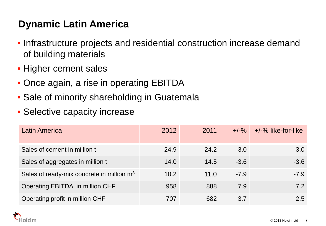### **Dynamic Latin America**

- Infrastructure projects and residential construction increase demand of building materials
- Higher cement sales
- Once again, a rise in operating EBITDA
- Sale of minority shareholding in Guatemala
- Selective capacity increase

| <b>Latin America</b>                                  | 2012 | 2011 | $+/-\%$ | +/-% like-for-like |
|-------------------------------------------------------|------|------|---------|--------------------|
| Sales of cement in million t                          | 24.9 | 24.2 | 3.0     | 3.0                |
| Sales of aggregates in million t                      | 14.0 | 14.5 | $-3.6$  | $-3.6$             |
| Sales of ready-mix concrete in million m <sup>3</sup> | 10.2 | 11.0 | $-7.9$  | $-7.9$             |
| Operating EBITDA in million CHF                       | 958  | 888  | 7.9     | 7.2                |
| Operating profit in million CHF                       | 707  | 682  | 3.7     | 2.5                |

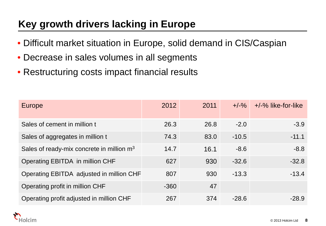### **Key growth drivers lacking in Europe**

- Difficult market situation in Europe, solid demand in CIS/Caspian
- Decrease in sales volumes in all segments
- Restructuring costs impact financial results

| <b>Europe</b>                                         | 2012   | 2011 | $+/-\%$ | $+/-\%$ like-for-like |
|-------------------------------------------------------|--------|------|---------|-----------------------|
| Sales of cement in million t                          | 26.3   | 26.8 | $-2.0$  | $-3.9$                |
| Sales of aggregates in million t                      | 74.3   | 83.0 | $-10.5$ | $-11.1$               |
| Sales of ready-mix concrete in million m <sup>3</sup> | 14.7   | 16.1 | $-8.6$  | $-8.8$                |
| Operating EBITDA in million CHF                       | 627    | 930  | $-32.6$ | $-32.8$               |
| Operating EBITDA adjusted in million CHF              | 807    | 930  | $-13.3$ | $-13.4$               |
| Operating profit in million CHF                       | $-360$ | 47   |         |                       |
| Operating profit adjusted in million CHF              | 267    | 374  | $-28.6$ | $-28.9$               |

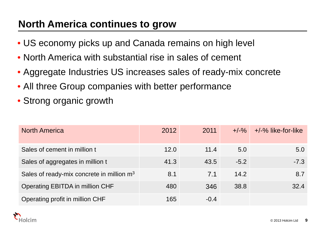### **North America continues to grow**

- US economy picks up and Canada remains on high level
- North America with substantial rise in sales of cement
- Aggregate Industries US increases sales of ready-mix concrete
- All three Group companies with better performance
- Strong organic growth

| <b>North America</b>                                  | 2012 | 2011   | $+/-\%$ | $+/-\%$ like-for-like |
|-------------------------------------------------------|------|--------|---------|-----------------------|
| Sales of cement in million t                          | 12.0 | 11.4   | 5.0     | 5.0                   |
| Sales of aggregates in million t                      | 41.3 | 43.5   | $-5.2$  | $-7.3$                |
| Sales of ready-mix concrete in million m <sup>3</sup> | 8.1  | 7.1    | 14.2    | 8.7                   |
| Operating EBITDA in million CHF                       | 480  | 346    | 38.8    | 32.4                  |
| Operating profit in million CHF                       | 165  | $-0.4$ |         |                       |

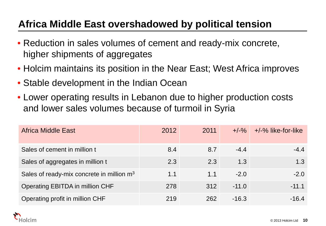### **Africa Middle East overshadowed by political tension**

- Reduction in sales volumes of cement and ready-mix concrete, higher shipments of aggregates
- Holcim maintains its position in the Near East; West Africa improves
- Stable development in the Indian Ocean
- Lower operating results in Lebanon due to higher production costs and lower sales volumes because of turmoil in Syria

| Africa Middle East                                    | 2012 | 2011 | $+/-\%$ | $+/-\%$ like-for-like |
|-------------------------------------------------------|------|------|---------|-----------------------|
| Sales of cement in million t                          | 8.4  | 8.7  | $-4.4$  | $-4.4$                |
| Sales of aggregates in million t                      | 2.3  | 2.3  | 1.3     | 1.3                   |
| Sales of ready-mix concrete in million m <sup>3</sup> | 1.1  | 1.1  | $-2.0$  | $-2.0$                |
| Operating EBITDA in million CHF                       | 278  | 312  | $-11.0$ | $-11.1$               |
| Operating profit in million CHF                       | 219  | 262  | $-16.3$ | $-16.4$               |

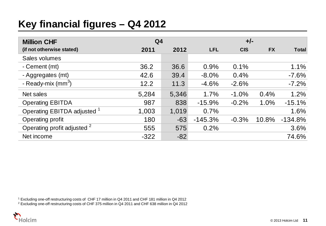### **Key financial figures – Q4 2012**

| <b>Million CHF</b>                     | Q <sub>4</sub> |       |            |            |           |              |
|----------------------------------------|----------------|-------|------------|------------|-----------|--------------|
| (if not otherwise stated)              | 2011           | 2012  | <b>LFL</b> | <b>CIS</b> | <b>FX</b> | <b>Total</b> |
| Sales volumes                          |                |       |            |            |           |              |
| - Cement (mt)                          | 36.2           | 36.6  | 0.9%       | 0.1%       |           | 1.1%         |
| - Aggregates (mt)                      | 42.6           | 39.4  | $-8.0%$    | 0.4%       |           | $-7.6%$      |
| - Ready-mix $\text{(mm}^3)$            | 12.2           | 11.3  | $-4.6%$    | $-2.6%$    |           | $-7.2%$      |
| Net sales                              | 5,284          | 5,346 | 1.7%       | $-1.0%$    | 0.4%      | 1.2%         |
| <b>Operating EBITDA</b>                | 987            | 838   | $-15.9%$   | $-0.2%$    | 1.0%      | $-15.1%$     |
| Operating EBITDA adjusted <sup>1</sup> | 1,003          | 1,019 | 0.7%       |            |           | 1.6%         |
| <b>Operating profit</b>                | 180            | $-63$ | $-145.3%$  | $-0.3%$    | 10.8%     | $-134.8%$    |
| Operating profit adjusted <sup>2</sup> | 555            | 575   | 0.2%       |            |           | 3.6%         |
| Net income                             | $-322$         | $-82$ |            |            |           | 74.6%        |

<sup>1</sup> Excluding one-off restructuring costs of CHF 17 million in Q4 2011 and CHF 181 million in Q4 2012

<sup>2</sup> Excluding one-off restructuring costs of CHF 375 million in Q4 2011 and CHF 638 million in Q4 2012

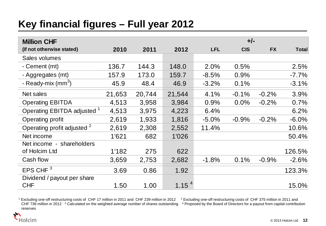### **Key financial figures – Full year 2012**

| <b>Million CHF</b>                     |        |        |                   |            | $+/-$      |           |              |
|----------------------------------------|--------|--------|-------------------|------------|------------|-----------|--------------|
| (if not otherwise stated)              | 2010   | 2011   | 2012              | <b>LFL</b> | <b>CIS</b> | <b>FX</b> | <b>Total</b> |
| Sales volumes                          |        |        |                   |            |            |           |              |
| - Cement (mt)                          | 136.7  | 144.3  | 148.0             | 2.0%       | 0.5%       |           | 2.5%         |
| - Aggregates (mt)                      | 157.9  | 173.0  | 159.7             | $-8.5%$    | 0.9%       |           | $-7.7\%$     |
| - Ready-mix $\text{(mm}^3)$            | 45.9   | 48.4   | 46.9              | $-3.2%$    | 0.1%       |           | $-3.1%$      |
| Net sales                              | 21,653 | 20,744 | 21,544            | 4.1%       | $-0.1%$    | $-0.2%$   | 3.9%         |
| <b>Operating EBITDA</b>                | 4,513  | 3,958  | 3,984             | 0.9%       | $0.0\%$    | $-0.2%$   | 0.7%         |
| Operating EBITDA adjusted <sup>1</sup> | 4,513  | 3,975  | 4,223             | 6.4%       |            |           | 6.2%         |
| Operating profit                       | 2,619  | 1,933  | 1,816             | $-5.0%$    | $-0.9%$    | $-0.2%$   | $-6.0%$      |
| Operating profit adjusted <sup>2</sup> | 2,619  | 2,308  | 2,552             | 11.4%      |            |           | 10.6%        |
| Net income                             | 1'621  | 682    | 1'026             |            |            |           | 50.4%        |
| Net income - shareholders              |        |        |                   |            |            |           |              |
| of Holcim Ltd                          | 1'182  | 275    | 622               |            |            |           | 126.5%       |
| Cash flow                              | 3,659  | 2,753  | 2,682             | $-1.8%$    | 0.1%       | $-0.9%$   | $-2.6%$      |
| EPS CHF <sup>3</sup>                   | 3.69   | 0.86   | 1.92              |            |            |           | 123.3%       |
| Dividend / payout per share            |        |        |                   |            |            |           |              |
| <b>CHF</b>                             | 1.50   | 1.00   | 1.15 <sup>4</sup> |            |            |           | 15.0%        |

<sup>1</sup> Excluding one-off restructuring costs of CHF 17 million in 2011 and CHF 239 million in 2012 <sup>2</sup> Excluding one-off restructuring costs of CHF 375 million in 2011 and CHF 736 million in 2012  $3$  Calculated on the weighted average number of shares outstanding.  $4$  Proposed by the Board of Directors for a payout from capital contribution reserves

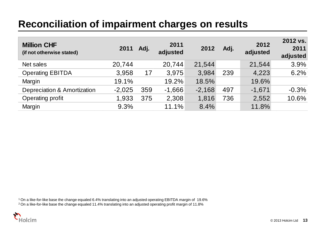### **Reconciliation of impairment charges on results**

| <b>Million CHF</b><br>(if not otherwise stated) | 2011     | Adj. | 2011<br>adjusted | 2012     | Adj. | 2012<br>adjusted | 2012 vs.<br>2011<br>adjusted |
|-------------------------------------------------|----------|------|------------------|----------|------|------------------|------------------------------|
| Net sales                                       | 20,744   |      | 20,744           | 21,544   |      | 21,544           | 3.9%                         |
| <b>Operating EBITDA</b>                         | 3,958    | 17   | 3,975            | 3.984    | 239  | 4,223            | 6.2%                         |
| Margin                                          | 19.1%    |      | 19.2%            | 18.5%    |      | 19.6%            |                              |
| <b>Depreciation &amp; Amortization</b>          | $-2,025$ | 359  | $-1,666$         | $-2,168$ | 497  | $-1,671$         | $-0.3%$                      |
| Operating profit                                | 1,933    | 375  | 2,308            | 1,816    | 736  | 2,552            | 10.6%                        |
| Margin                                          | 9.3%     |      | 11.1%            | 8.4%     |      | 11.8%            |                              |

1 On a like-for-like base the change equaled 6.4% translating into an adjusted operating EBITDA margin of 19.6%

2 On a like-for-like base the change equaled 11.4% translating into an adjusted operating profit margin of 11.8%

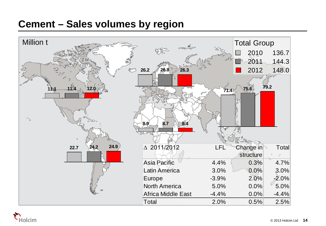### **Cement – Sales volumes by region**



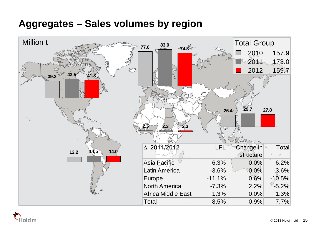### **Aggregates – Sales volumes by region**



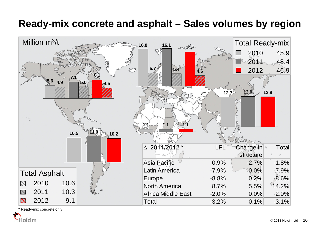### **Ready-mix concrete and asphalt – Sales volumes by region**



\* Ready-mix concrete only

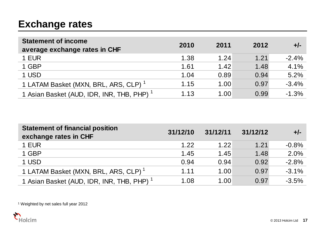### **Exchange rates**

| <b>Statement of income</b><br>average exchange rates in CHF | 2010 | 2011 | 2012 | $+/-$   |
|-------------------------------------------------------------|------|------|------|---------|
| 1 EUR                                                       | 1.38 | 1.24 | 1.21 | $-2.4%$ |
| 1 GBP                                                       | 1.61 | 1.42 | 1.48 | 4.1%    |
| 1 USD                                                       | 1.04 | 0.89 | 0.94 | 5.2%    |
| 1 LATAM Basket (MXN, BRL, ARS, CLP) <sup>1</sup>            | 1.15 | 1.00 | 0.97 | $-3.4%$ |
| 1 Asian Basket (AUD, IDR, INR, THB, PHP) <sup>1</sup>       | 1.13 | 1.00 | 0.99 | $-1.3%$ |

| <b>Statement of financial position</b><br>exchange rates in CHF | 31/12/10 | 31/12/11 | 31/12/12 | $+/-$   |
|-----------------------------------------------------------------|----------|----------|----------|---------|
| 1 EUR                                                           | 1.22     | 1.22     | 1.21     | $-0.8%$ |
| 1 GBP                                                           | 1.45     | 1.45     | 1.48     | 2.0%    |
| 1 USD                                                           | 0.94     | 0.94     | 0.92     | $-2.8%$ |
| 1 LATAM Basket (MXN, BRL, ARS, CLP) <sup>1</sup>                | 1.11     | 1.00     | 0.97     | $-3.1%$ |
| 1 Asian Basket (AUD, IDR, INR, THB, PHP) <sup>1</sup>           | 1.08     | 1.00     | 0.97     | $-3.5%$ |

<sup>1</sup> Weighted by net sales full year 2012

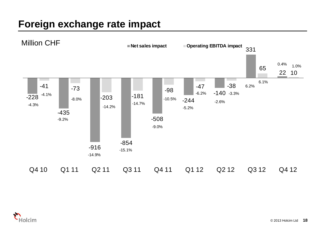### **Foreign exchange rate impact**



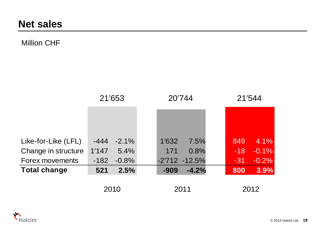### Million CHF

|                     | 21'653 |          | 20'744 |                  | 21'544 |       |         |
|---------------------|--------|----------|--------|------------------|--------|-------|---------|
|                     |        |          |        |                  |        |       |         |
|                     |        |          |        |                  |        |       |         |
| Like-for-Like (LFL) | $-444$ | $-2.1\%$ | 1'632  | 7.5%             |        | 849   | 4.1%    |
| Change in structure | 1'147  | 5.4%     | 171    | 0.8%             |        | $-18$ | $-0.1%$ |
| Forex movements     | $-182$ | $-0.8%$  |        | $-2'712 - 12.5%$ |        | $-31$ | $-0.2%$ |
| <b>Total change</b> | 521    | 2.5%     | $-909$ | $-4.2%$          |        | 800   | 3.9%    |
|                     | 2010   |          | 2011   |                  |        |       | 2012    |

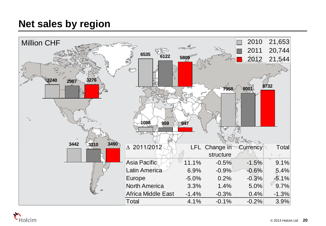### **Net sales by region**



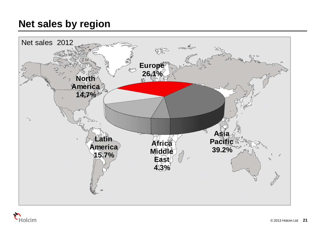### **Net sales by region**



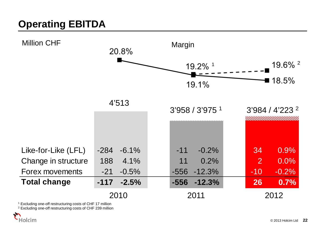# **Operating EBITDA**



<sup>1</sup> Excluding one-off restructuring costs of CHF 17 million

<sup>2</sup> Excluding one-off restructuring costs of CHF 239 million

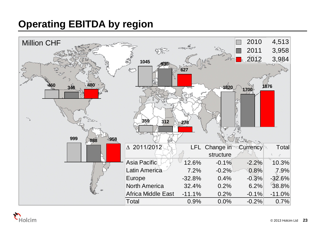## **Operating EBITDA by region**



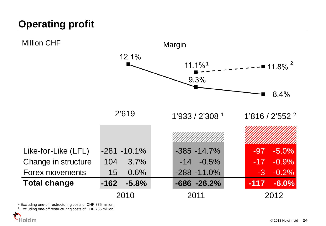# **Operating profit**



<sup>1</sup> Excluding one-off restructuring costs of CHF 375 million

<sup>2</sup> Excluding one-off restructuring costs of CHF 736 million

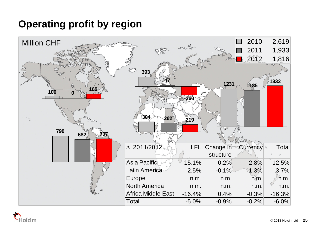### **Operating profit by region**



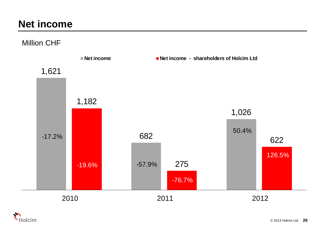### **Net income**

Million CHF



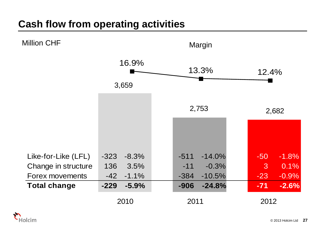### **Cash flow from operating activities**



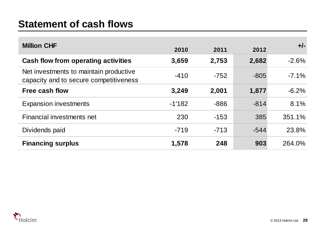### **Statement of cash flows**

| <b>Million CHF</b>                                                               | 2010     | 2011   | 2012   | $+/-$    |
|----------------------------------------------------------------------------------|----------|--------|--------|----------|
| Cash flow from operating activities                                              | 3,659    | 2,753  | 2,682  | $-2.6%$  |
| Net investments to maintain productive<br>capacity and to secure competitiveness | $-410$   | $-752$ | $-805$ | $-7.1\%$ |
| Free cash flow                                                                   | 3,249    | 2,001  | 1,877  | $-6.2%$  |
| <b>Expansion investments</b>                                                     | $-1'182$ | $-886$ | $-814$ | 8.1%     |
| Financial investments net                                                        | 230      | $-153$ | 385    | 351.1%   |
| Dividends paid                                                                   | $-719$   | $-713$ | $-544$ | 23.8%    |
| <b>Financing surplus</b>                                                         | 1,578    | 248    | 903    | 264.0%   |

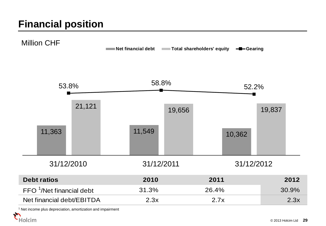### **Financial position**



<sup>1</sup> Net income plus depreciation, amortization and impairment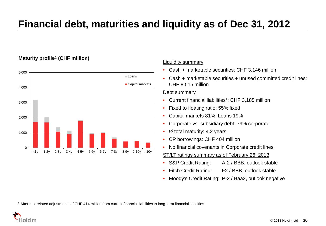## **Financial debt, maturities and liquidity as of Dec 31, 2012**

### **Maturity profile**<sup>1</sup> **(CHF million)**



### Liquidity summary

- Cash + marketable securities: CHF 3,146 million
- Cash + marketable securities + unused committed credit lines: CHF 8,515 million

### Debt summary

- Current financial liabilities<sup>1</sup>: CHF 3,185 million
- Fixed to floating ratio: 55% fixed
- Capital markets 81%; Loans 19%
- Corporate vs. subsidiary debt: 79% corporate
- Ø total maturity: 4.2 years
- CP borrowings: CHF 404 million
- No financial covenants in Corporate credit lines
- ST/LT ratings summary as of February 26, 2013
- S&P Credit Rating: A-2 / BBB, outlook stable
- Fitch Credit Rating: F2 / BBB, outlook stable
- Moody's Credit Rating: P-2 / Baa2, outlook negative

<sup>1</sup> After risk-related adjustments of CHF 414 million from current financial liabilities to long-term financial liabilities

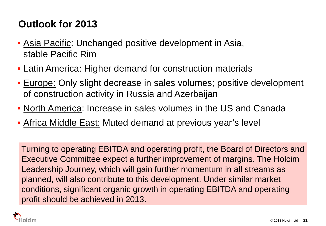## **Outlook for 2013**

- Asia Pacific: Unchanged positive development in Asia, stable Pacific Rim
- Latin America: Higher demand for construction materials
- Europe: Only slight decrease in sales volumes; positive development of construction activity in Russia and Azerbaijan
- North America: Increase in sales volumes in the US and Canada
- Africa Middle East: Muted demand at previous year's level

Turning to operating EBITDA and operating profit, the Board of Directors and Executive Committee expect a further improvement of margins. The Holcim Leadership Journey, which will gain further momentum in all streams as planned, will also contribute to this development. Under similar market conditions, significant organic growth in operating EBITDA and operating profit should be achieved in 2013.

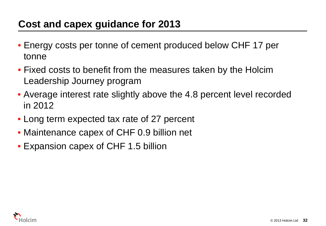### **Cost and capex guidance for 2013**

- Energy costs per tonne of cement produced below CHF 17 per tonne
- Fixed costs to benefit from the measures taken by the Holcim Leadership Journey program
- Average interest rate slightly above the 4.8 percent level recorded in 2012
- Long term expected tax rate of 27 percent
- Maintenance capex of CHF 0.9 billion net
- Expansion capex of CHF 1.5 billion

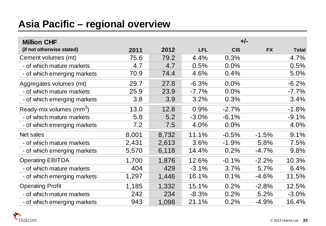### **Asia Pacific – regional overview**

| <b>Million CHF</b>                   |       |       |            | $+/-$      |           |              |
|--------------------------------------|-------|-------|------------|------------|-----------|--------------|
| (if not otherwise stated)            | 2011  | 2012  | <b>LFL</b> | <b>CIS</b> | <b>FX</b> | <b>Total</b> |
| Cement volumes (mt)                  | 75.6  | 79.2  | 4.4%       | 0.3%       |           | 4.7%         |
| - of which mature markets            | 4.7   | 4.7   | 0.5%       | 0.0%       |           | 0.5%         |
| - of which emerging markets          | 70.9  | 74.4  | 4.6%       | 0.4%       |           | 5.0%         |
| Aggregates volumes (mt)              | 29.7  | 27.8  | $-6.3%$    | 0.0%       |           | $-6.2%$      |
| - of which mature markets            | 25.9  | 23.9  | $-7.7%$    | 0.0%       |           | $-7.7%$      |
| - of which emerging markets          | 3.8   | 3.9   | 3.2%       | 0.3%       |           | 3.4%         |
| Ready-mix volumes (mm <sup>3</sup> ) | 13.0  | 12.8  | 0.9%       | $-2.7%$    |           | $-1.8%$      |
| - of which mature markets            | 5.8   | 5.2   | $-3.0%$    | $-6.1%$    |           | $-9.1%$      |
| - of which emerging markets          | 7.2   | 7.5   | 4.0%       | 0.0%       |           | 4.0%         |
| Net sales                            | 8,001 | 8,732 | 11.1%      | $-0.5%$    | $-1.5%$   | 9.1%         |
| - of which mature markets            | 2,431 | 2,613 | 3.6%       | $-1.9%$    | 5.8%      | 7.5%         |
| - of which emerging markets          | 5,570 | 6,118 | 14.4%      | 0.2%       | $-4.7%$   | 9.8%         |
| <b>Operating EBITDA</b>              | 1,700 | 1,876 | 12.6%      | $-0.1%$    | $-2.2%$   | 10.3%        |
| - of which mature markets            | 404   | 429   | $-3.1%$    | 3.7%       | 5.7%      | 6.4%         |
| - of which emerging markets          | 1,297 | 1,446 | 16.1%      | 0.1%       | $-4.6%$   | 11.5%        |
| <b>Operating Profit</b>              | 1,185 | 1,332 | 15.1%      | 0.2%       | $-2.8%$   | 12.5%        |
| - of which mature markets            | 242   | 234   | $-8.3%$    | 0.2%       | 5.2%      | $-3.0%$      |
| - of which emerging markets          | 943   | 1,098 | 21.1%      | 0.2%       | $-4.9%$   | 16.4%        |

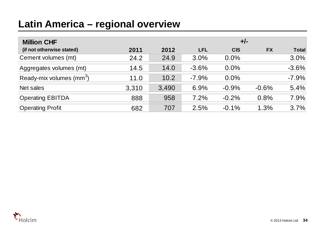### **Latin America – regional overview**

| <b>Million CHF</b>                   |       |       | $+/-$      |            |           |              |
|--------------------------------------|-------|-------|------------|------------|-----------|--------------|
| (if not otherwise stated)            | 2011  | 2012  | <b>LFL</b> | <b>CIS</b> | <b>FX</b> | <b>Total</b> |
| Cement volumes (mt)                  | 24.2  | 24.9  | 3.0%       | $0.0\%$    |           | 3.0%         |
| Aggregates volumes (mt)              | 14.5  | 14.0  | $-3.6%$    | $0.0\%$    |           | $-3.6%$      |
| Ready-mix volumes (mm <sup>3</sup> ) | 11.0  | 10.2  | $-7.9%$    | $0.0\%$    |           | $-7.9%$      |
| Net sales                            | 3,310 | 3,490 | 6.9%       | $-0.9%$    | $-0.6%$   | 5.4%         |
| <b>Operating EBITDA</b>              | 888   | 958   | 7.2%       | $-0.2%$    | 0.8%      | 7.9%         |
| <b>Operating Profit</b>              | 682   | 707   | 2.5%       | $-0.1%$    | 1.3%      | 3.7%         |

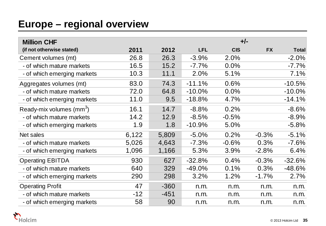### **Europe – regional overview**

| <b>Million CHF</b>                |       |        |            | $+/-$      |           |              |
|-----------------------------------|-------|--------|------------|------------|-----------|--------------|
| (if not otherwise stated)         | 2011  | 2012   | <b>LFL</b> | <b>CIS</b> | <b>FX</b> | <b>Total</b> |
| Cement volumes (mt)               | 26.8  | 26.3   | $-3.9%$    | 2.0%       |           | $-2.0%$      |
| - of which mature markets         | 16.5  | 15.2   | $-7.7\%$   | 0.0%       |           | $-7.7%$      |
| - of which emerging markets       | 10.3  | 11.1   | 2.0%       | 5.1%       |           | 7.1%         |
| Aggregates volumes (mt)           | 83.0  | 74.3   | $-11.1%$   | 0.6%       |           | $-10.5%$     |
| - of which mature markets         | 72.0  | 64.8   | $-10.0\%$  | 0.0%       |           | $-10.0\%$    |
| - of which emerging markets       | 11.0  | 9.5    | $-18.8%$   | 4.7%       |           | $-14.1%$     |
| Ready-mix volumes $\text{(mm}^3)$ | 16.1  | 14.7   | $-8.8%$    | 0.2%       |           | $-8.6%$      |
| - of which mature markets         | 14.2  | 12.9   | $-8.5%$    | $-0.5%$    |           | $-8.9%$      |
| - of which emerging markets       | 1.9   | 1.8    | $-10.9%$   | 5.0%       |           | $-5.8\%$     |
| Net sales                         | 6,122 | 5,809  | $-5.0%$    | 0.2%       | $-0.3%$   | $-5.1%$      |
| - of which mature markets         | 5,026 | 4,643  | $-7.3%$    | $-0.6%$    | 0.3%      | $-7.6%$      |
| - of which emerging markets       | 1,096 | 1,166  | 5.3%       | 3.9%       | $-2.8%$   | 6.4%         |
| <b>Operating EBITDA</b>           | 930   | 627    | $-32.8%$   | 0.4%       | $-0.3%$   | $-32.6%$     |
| - of which mature markets         | 640   | 329    | $-49.0%$   | 0.1%       | 0.3%      | $-48.6%$     |
| - of which emerging markets       | 290   | 298    | 3.2%       | 1.2%       | $-1.7%$   | 2.7%         |
| <b>Operating Profit</b>           | 47    | $-360$ | n.m.       | n.m.       | n.m.      | n.m.         |
| - of which mature markets         | $-12$ | $-451$ | n.m.       | n.m.       | n.m.      | n.m.         |
| - of which emerging markets       | 58    | 90     | n.m.       | n.m.       | n.m.      | n.m.         |

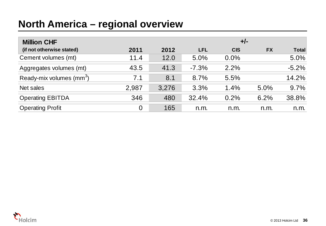### **North America – regional overview**

| <b>Million CHF</b>                   |                |       | $+/-$      |            |           |              |
|--------------------------------------|----------------|-------|------------|------------|-----------|--------------|
| (if not otherwise stated)            | 2011           | 2012  | <b>LFL</b> | <b>CIS</b> | <b>FX</b> | <b>Total</b> |
| Cement volumes (mt)                  | 11.4           | 12.0  | 5.0%       | 0.0%       |           | 5.0%         |
| Aggregates volumes (mt)              | 43.5           | 41.3  | $-7.3%$    | 2.2%       |           | $-5.2%$      |
| Ready-mix volumes (mm <sup>3</sup> ) | 7.1            | 8.1   | 8.7%       | 5.5%       |           | 14.2%        |
| Net sales                            | 2,987          | 3,276 | 3.3%       | 1.4%       | 5.0%      | 9.7%         |
| <b>Operating EBITDA</b>              | 346            | 480   | 32.4%      | 0.2%       | 6.2%      | 38.8%        |
| <b>Operating Profit</b>              | $\overline{0}$ | 165   | n.m.       | n.m.       | n.m.      | n.m.         |

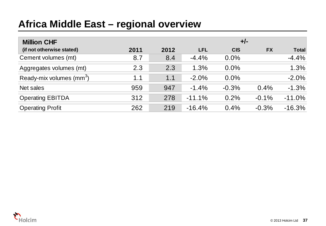### **Africa Middle East – regional overview**

| <b>Million CHF</b>                   |      |      | $+/-$      |            |           |              |
|--------------------------------------|------|------|------------|------------|-----------|--------------|
| (if not otherwise stated)            | 2011 | 2012 | <b>LFL</b> | <b>CIS</b> | <b>FX</b> | <b>Total</b> |
| Cement volumes (mt)                  | 8.7  | 8.4  | $-4.4%$    | $0.0\%$    |           | $-4.4%$      |
| Aggregates volumes (mt)              | 2.3  | 2.3  | 1.3%       | $0.0\%$    |           | 1.3%         |
| Ready-mix volumes (mm <sup>3</sup> ) | 1.1  | 1.1  | $-2.0%$    | 0.0%       |           | $-2.0%$      |
| Net sales                            | 959  | 947  | $-1.4%$    | $-0.3%$    | 0.4%      | $-1.3%$      |
| <b>Operating EBITDA</b>              | 312  | 278  | $-11.1%$   | 0.2%       | $-0.1%$   | $-11.0%$     |
| <b>Operating Profit</b>              | 262  | 219  | $-16.4%$   | 0.4%       | $-0.3%$   | $-16.3%$     |

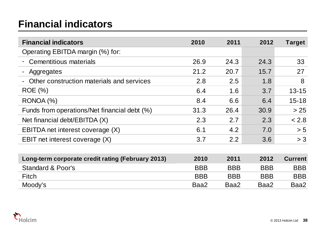### **Financial indicators**

| <b>Financial indicators</b>                       | 2010       | 2011       | 2012       | Target         |
|---------------------------------------------------|------------|------------|------------|----------------|
| Operating EBITDA margin (%) for:                  |            |            |            |                |
| Cementitious materials                            | 26.9       | 24.3       | 24.3       | 33             |
| Aggregates<br>$\blacksquare$                      | 21.2       | 20.7       | 15.7       | 27             |
| Other construction materials and services         | 2.8        | 2.5        | 1.8        | 8              |
| <b>ROE</b> (%)                                    | 6.4        | 1.6        | 3.7        | $13 - 15$      |
| RONOA (%)                                         | 8.4        | 6.6        | 6.4        | $15 - 18$      |
| Funds from operations/Net financial debt (%)      | 31.3       | 26.4       | 30.9       | > 25           |
| Net financial debt/EBITDA (X)                     | 2.3        | 2.7        | 2.3        | < 2.8          |
| EBITDA net interest coverage (X)                  | 6.1        | 4.2        | 7.0        | > 5            |
| EBIT net interest coverage (X)                    | 3.7        | 2.2        | 3.6        | > 3            |
|                                                   |            |            |            |                |
| Long-term corporate credit rating (February 2013) | 2010       | 2011       | 2012       | <b>Current</b> |
| <b>Standard &amp; Poor's</b>                      | <b>BBB</b> | <b>BBB</b> | <b>BBB</b> | <b>BBB</b>     |
| <b>Fitch</b>                                      | <b>BBB</b> | <b>BBB</b> | <b>BBB</b> | <b>BBB</b>     |
| Moody's                                           | Baa2       | Baa2       | Baa2       | Baa2           |

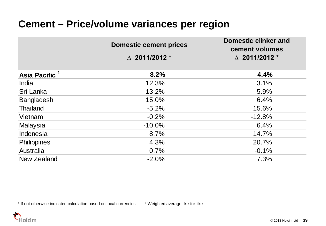|                           | <b>Domestic cement prices</b><br>$\triangle$ 2011/2012 * | <b>Domestic clinker and</b><br>cement volumes<br>$\triangle$ 2011/2012 $^*$ |
|---------------------------|----------------------------------------------------------|-----------------------------------------------------------------------------|
| Asia Pacific <sup>1</sup> | 8.2%                                                     | 4.4%                                                                        |
| India                     | 12.3%                                                    | 3.1%                                                                        |
| Sri Lanka                 | 13.2%                                                    | 5.9%                                                                        |
| Bangladesh                | 15.0%                                                    | 6.4%                                                                        |
| <b>Thailand</b>           | $-5.2%$                                                  | 15.6%                                                                       |
| Vietnam                   | $-0.2%$                                                  | $-12.8%$                                                                    |
| Malaysia                  | $-10.0\%$                                                | 6.4%                                                                        |
| Indonesia                 | 8.7%                                                     | 14.7%                                                                       |
| Philippines               | 4.3%                                                     | 20.7%                                                                       |
| Australia                 | 0.7%                                                     | $-0.1%$                                                                     |
| New Zealand               | $-2.0%$                                                  | 7.3%                                                                        |

\* If not otherwise indicated calculation based on local currencies 1 Weighted average like-for-like

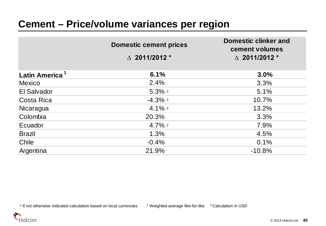|                            | <b>Domestic cement prices</b> | <b>Domestic clinker and</b><br>cement volumes |
|----------------------------|-------------------------------|-----------------------------------------------|
|                            | $\triangle$ 2011/2012 *       | $\triangle$ 2011/2012 $^*$                    |
| Latin America <sup>1</sup> | 6.1%                          | 3.0%                                          |
| <b>Mexico</b>              | 2.4%                          | 3.3%                                          |
| El Salvador                | $5.3\%$ 2                     | 5.1%                                          |
| Costa Rica                 | $-4.3\%$ 2                    | 10.7%                                         |
| Nicaragua                  | $4.1\%$ <sup>2</sup>          | 13.2%                                         |
| Colombia                   | 20.3%                         | 3.3%                                          |
| Ecuador                    | $4.7\%$ <sup>2</sup>          | 7.9%                                          |
| <b>Brazil</b>              | 1.3%                          | 4.5%                                          |
| Chile                      | $-0.4%$                       | 0.1%                                          |
| Argentina                  | 21.9%                         | $-10.8%$                                      |

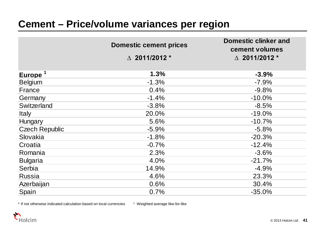|                       | <b>Domestic cement prices</b> | <b>Domestic clinker and</b><br>cement volumes |
|-----------------------|-------------------------------|-----------------------------------------------|
|                       | $\triangle$ 2011/2012 $^*$    | $\triangle$ 2011/2012 *                       |
|                       | 1.3%                          |                                               |
| Europe <sup>1</sup>   |                               | $-3.9%$                                       |
| <b>Belgium</b>        | $-1.3%$                       | $-7.9%$                                       |
| France                | 0.4%                          | $-9.8%$                                       |
| Germany               | $-1.4%$                       | $-10.0%$                                      |
| Switzerland           | $-3.8%$                       | $-8.5%$                                       |
| <b>Italy</b>          | 20.0%                         | $-19.0%$                                      |
| Hungary               | 5.6%                          | $-10.7%$                                      |
| <b>Czech Republic</b> | $-5.9%$                       | $-5.8%$                                       |
| Slovakia              | $-1.8%$                       | $-20.3%$                                      |
| Croatia               | $-0.7%$                       | $-12.4%$                                      |
| Romania               | 2.3%                          | $-3.6%$                                       |
| <b>Bulgaria</b>       | 4.0%                          | $-21.7%$                                      |
| Serbia                | 14.9%                         | $-4.9%$                                       |
| <b>Russia</b>         | 4.6%                          | 23.3%                                         |
| Azerbaijan            | 0.6%                          | 30.4%                                         |
| Spain                 | 0.7%                          | $-35.0%$                                      |

\* If not otherwise indicated calculation based on local currencies 1 Weighted average like-for-like

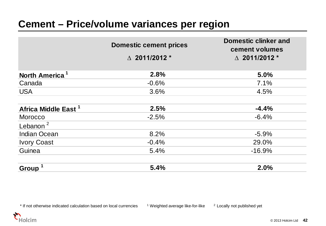|                                 | <b>Domestic cement prices</b> | <b>Domestic clinker and</b><br>cement volumes |
|---------------------------------|-------------------------------|-----------------------------------------------|
|                                 | $\triangle$ 2011/2012 *       | $\triangle$ 2011/2012 *                       |
| North America <sup>1</sup>      | 2.8%                          | 5.0%                                          |
| Canada                          | $-0.6%$                       | 7.1%                                          |
| <b>USA</b>                      | 3.6%                          | 4.5%                                          |
| Africa Middle East <sup>1</sup> | 2.5%                          | $-4.4%$                                       |
| <b>Morocco</b>                  | $-2.5%$                       | $-6.4%$                                       |
| Lebanon $^2$                    |                               |                                               |
| <b>Indian Ocean</b>             | 8.2%                          | $-5.9%$                                       |
| <b>Ivory Coast</b>              | $-0.4%$                       | 29.0%                                         |
| Guinea                          | 5.4%                          | $-16.9%$                                      |
| Group <sup>1</sup>              | 5.4%                          | 2.0%                                          |

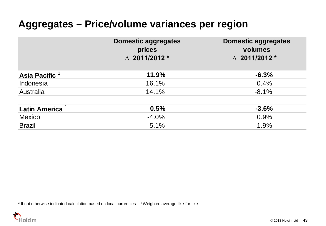### **Aggregates – Price/volume variances per region**

|                            | <b>Domestic aggregates</b><br>prices<br>$\land$ 2011/2012 * | <b>Domestic aggregates</b><br>volumes<br>$\triangle$ 2011/2012 * |
|----------------------------|-------------------------------------------------------------|------------------------------------------------------------------|
| Asia Pacific <sup>1</sup>  | 11.9%                                                       | $-6.3%$                                                          |
| Indonesia                  | 16.1%                                                       | 0.4%                                                             |
| Australia                  | 14.1%                                                       | $-8.1%$                                                          |
| Latin America <sup>1</sup> | 0.5%                                                        | $-3.6%$                                                          |
| <b>Mexico</b>              | $-4.0%$                                                     | 0.9%                                                             |
| <b>Brazil</b>              | 5.1%                                                        | 1.9%                                                             |

\* If not otherwise indicated calculation based on local currencies <sup>1</sup> Weighted average like-for-like

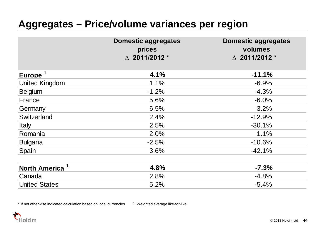### **Aggregates – Price/volume variances per region**

|                            | <b>Domestic aggregates</b><br>prices<br>$\triangle$ 2011/2012 * | <b>Domestic aggregates</b><br>volumes<br>$\triangle$ 2011/2012 * |
|----------------------------|-----------------------------------------------------------------|------------------------------------------------------------------|
| Europe <sup>1</sup>        | 4.1%                                                            | $-11.1%$                                                         |
| <b>United Kingdom</b>      | 1.1%                                                            | $-6.9%$                                                          |
| <b>Belgium</b>             | $-1.2%$                                                         | $-4.3%$                                                          |
| France                     | 5.6%                                                            | $-6.0%$                                                          |
| Germany                    | 6.5%                                                            | 3.2%                                                             |
| Switzerland                | 2.4%                                                            | $-12.9%$                                                         |
| <b>Italy</b>               | 2.5%                                                            | $-30.1%$                                                         |
| Romania                    | 2.0%                                                            | 1.1%                                                             |
| <b>Bulgaria</b>            | $-2.5%$                                                         | $-10.6%$                                                         |
| Spain                      | 3.6%                                                            | $-42.1%$                                                         |
| North America <sup>1</sup> | 4.8%                                                            | $-7.3%$                                                          |
| Canada                     | 2.8%                                                            | $-4.8%$                                                          |
| <b>United States</b>       | 5.2%                                                            | $-5.4%$                                                          |

\* If not otherwise indicated calculation based on local currencies 1 Weighted average like-for-like

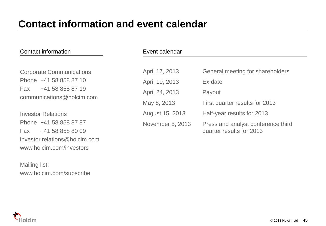|  | Contact information |
|--|---------------------|
|--|---------------------|

Corporate Communications Phone +41 58 858 87 10 Fax +41 58 858 87 19 communications@holcim.com

Investor Relations Phone +41 58 858 87 87 Fax +41 58 858 80 09 investor.relations@holcim.com www.holcim.com/investors

Mailing list: www.holcim.com/subscribe

| Event calendar   |                                                                |  |
|------------------|----------------------------------------------------------------|--|
|                  |                                                                |  |
| April 17, 2013   | General meeting for shareholders                               |  |
| April 19, 2013   | Ex date                                                        |  |
| April 24, 2013   | Payout                                                         |  |
| May 8, 2013      | First quarter results for 2013                                 |  |
| August 15, 2013  | Half-year results for 2013                                     |  |
| November 5, 2013 | Press and analyst conference third<br>quarter results for 2013 |  |

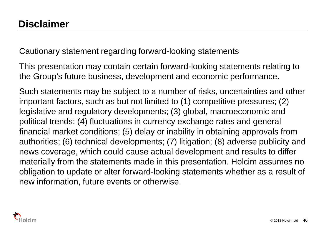Cautionary statement regarding forward-looking statements

This presentation may contain certain forward-looking statements relating to the Group's future business, development and economic performance.

Such statements may be subject to a number of risks, uncertainties and other important factors, such as but not limited to (1) competitive pressures; (2) legislative and regulatory developments; (3) global, macroeconomic and political trends; (4) fluctuations in currency exchange rates and general financial market conditions; (5) delay or inability in obtaining approvals from authorities; (6) technical developments; (7) litigation; (8) adverse publicity and news coverage, which could cause actual development and results to differ materially from the statements made in this presentation. Holcim assumes no obligation to update or alter forward-looking statements whether as a result of new information, future events or otherwise.

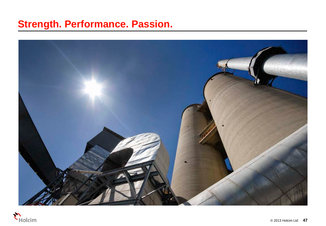### **Strength. Performance. Passion.**